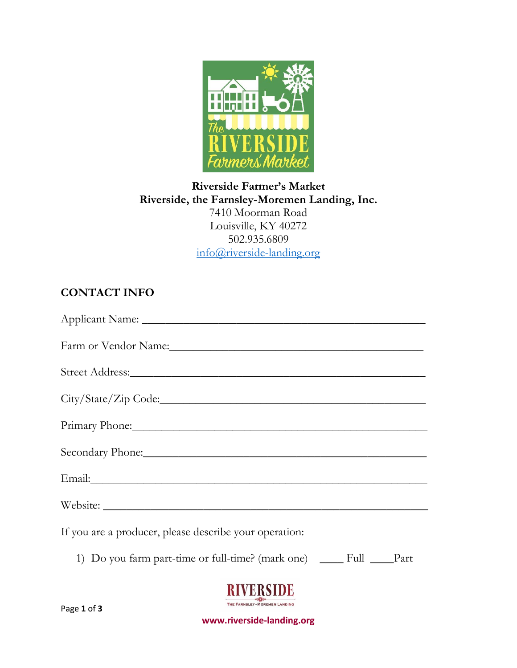

## **Riverside Farmer's Market Riverside, the Farnsley-Moremen Landing, Inc.** 7410 Moorman Road Louisville, KY 40272 502.935.6809 [info@riverside-landing.org](mailto:info@riverside-landing.org)

## **CONTACT INFO**

| Primary Phone: 2008 and 2008 and 2008 and 2008 and 2008 and 2008 and 2008 and 2008 and 2008 and 2008 and 2008 and 2008 and 2008 and 2008 and 2008 and 2008 and 2008 and 2008 and 2008 and 2008 and 2008 and 2008 and 2008 and |
|-------------------------------------------------------------------------------------------------------------------------------------------------------------------------------------------------------------------------------|
| Secondary Phone: 2000 and 2000 and 2000 and 2000 and 2000 and 2000 and 2000 and 2000 and 2000 and 2000 and 200                                                                                                                |
|                                                                                                                                                                                                                               |
|                                                                                                                                                                                                                               |
| If you are a producer, please describe your operation:                                                                                                                                                                        |

1) Do you farm part-time or full-time? (mark one) \_\_\_\_ Full \_\_\_\_Part



**www.riverside-landing.org**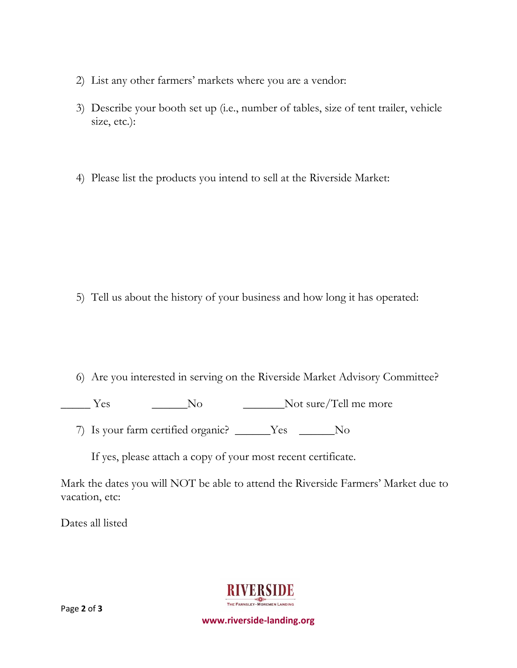- 2) List any other farmers' markets where you are a vendor:
- 3) Describe your booth set up (i.e., number of tables, size of tent trailer, vehicle size, etc.):
- 4) Please list the products you intend to sell at the Riverside Market:

- 5) Tell us about the history of your business and how long it has operated:
- 6) Are you interested in serving on the Riverside Market Advisory Committee?

Les Seconds Contract No Les Sous-Contract Not sure/Tell me more

7) Is your farm certified organic? \_\_\_\_\_\_Yes \_\_\_\_\_\_No

If yes, please attach a copy of your most recent certificate.

Mark the dates you will NOT be able to attend the Riverside Farmers' Market due to vacation, etc:

Dates all listed



**www.riverside-landing.org**